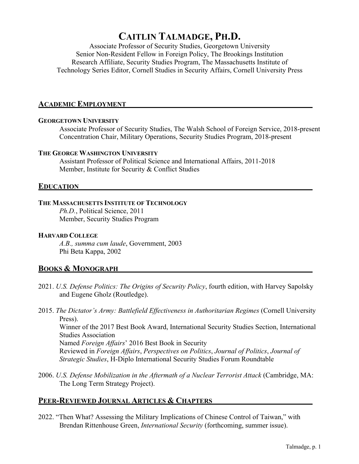# **CAITLIN TALMADGE, PH.D.**

Associate Professor of Security Studies, Georgetown University Senior Non-Resident Fellow in Foreign Policy, The Brookings Institution Research Affiliate, Security Studies Program, The Massachusetts Institute of Technology Series Editor, Cornell Studies in Security Affairs, Cornell University Press

#### **ACADEMIC EMPLOYMENT**

#### **GEORGETOWN UNIVERSITY**

Associate Professor of Security Studies, The Walsh School of Foreign Service, 2018-present Concentration Chair, Military Operations, Security Studies Program, 2018-present

#### **THE GEORGE WASHINGTON UNIVERSITY**

Assistant Professor of Political Science and International Affairs, 2011-2018 Member, Institute for Security & Conflict Studies

#### **EDUCATION**

#### **THE MASSACHUSETTS INSTITUTE OF TECHNOLOGY**

*Ph.D.*, Political Science, 2011 Member, Security Studies Program

#### **HARVARD COLLEGE**

*A.B., summa cum laude*, Government, 2003 Phi Beta Kappa, 2002

## **BOOKS & MONOGRAPH**

- 2021. *U.S. Defense Politics: The Origins of Security Policy*, fourth edition, with Harvey Sapolsky and Eugene Gholz (Routledge).
- 2015. *The Dictator's Army: Battlefield Effectiveness in Authoritarian Regimes* (Cornell University Press). Winner of the 2017 Best Book Award, International Security Studies Section, International Studies Association Named *Foreign Affairs*' 2016 Best Book in Security Reviewed in *Foreign Affairs*, *Perspectives on Politics*, *Journal of Politics*, *Journal of Strategic Studies*, H-Diplo International Security Studies Forum Roundtable
- 2006. *U.S. Defense Mobilization in the Aftermath of a Nuclear Terrorist Attack* (Cambridge, MA: The Long Term Strategy Project).

## **PEER-REVIEWED JOURNAL ARTICLES & CHAPTERS**

2022. "Then What? Assessing the Military Implications of Chinese Control of Taiwan," with Brendan Rittenhouse Green, *International Security* (forthcoming, summer issue).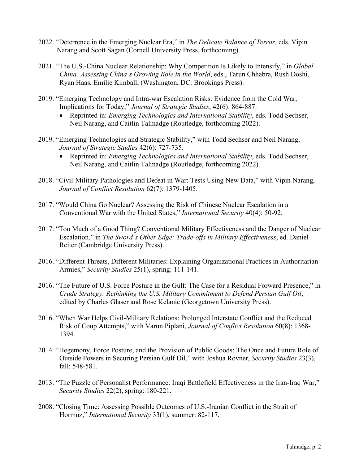- 2022. "Deterrence in the Emerging Nuclear Era," in *The Delicate Balance of Terror*, eds. Vipin Narang and Scott Sagan (Cornell University Press, forthcoming).
- 2021. "The U.S.-China Nuclear Relationship: Why Competition Is Likely to Intensify," in *Global China: Assessing China's Growing Role in the World*, eds., Tarun Chhabra, Rush Doshi, Ryan Haas, Emilie Kimball, (Washington, DC: Brookings Press).
- 2019. "Emerging Technology and Intra-war Escalation Risks: Evidence from the Cold War, Implications for Today," *Journal of Strategic Studies*, 42(6): 864-887.
	- Reprinted in: *Emerging Technologies and International Stability*, eds. Todd Sechser, Neil Narang, and Caitlin Talmadge (Routledge, forthcoming 2022).
- 2019. "Emerging Technologies and Strategic Stability," with Todd Sechser and Neil Narang, *Journal of Strategic Studies* 42(6): 727-735.
	- Reprinted in: *Emerging Technologies and International Stability*, eds. Todd Sechser, Neil Narang, and Caitlin Talmadge (Routledge, forthcoming 2022).
- 2018. "Civil-Military Pathologies and Defeat in War: Tests Using New Data," with Vipin Narang, *Journal of Conflict Resolution* 62(7): 1379-1405.
- 2017. "Would China Go Nuclear? Assessing the Risk of Chinese Nuclear Escalation in a Conventional War with the United States," *International Security* 40(4): 50-92.
- 2017. "Too Much of a Good Thing? Conventional Military Effectiveness and the Danger of Nuclear Escalation," in *The Sword's Other Edge: Trade-offs in Military Effectiveness*, ed. Daniel Reiter (Cambridge University Press).
- 2016. "Different Threats, Different Militaries: Explaining Organizational Practices in Authoritarian Armies," *Security Studies* 25(1), spring: 111-141.
- 2016. "The Future of U.S. Force Posture in the Gulf: The Case for a Residual Forward Presence," in *Crude Strategy: Rethinking the U.S. Military Commitment to Defend Persian Gulf Oil*, edited by Charles Glaser and Rose Kelanic (Georgetown University Press).
- 2016. "When War Helps Civil-Military Relations: Prolonged Interstate Conflict and the Reduced Risk of Coup Attempts," with Varun Piplani, *Journal of Conflict Resolution* 60(8): 1368- 1394.
- 2014. "Hegemony, Force Posture, and the Provision of Public Goods: The Once and Future Role of Outside Powers in Securing Persian Gulf Oil," with Joshua Rovner, *Security Studies* 23(3), fall: 548-581.
- 2013. "The Puzzle of Personalist Performance: Iraqi Battlefield Effectiveness in the Iran-Iraq War," *Security Studies* 22(2), spring: 180-221.
- 2008. "Closing Time: Assessing Possible Outcomes of U.S.-Iranian Conflict in the Strait of Hormuz," *International Security* 33(1), summer: 82-117.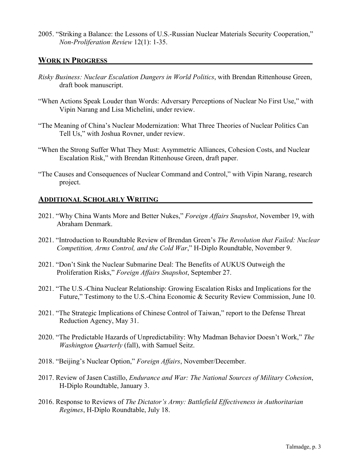2005. "Striking a Balance: the Lessons of U.S.-Russian Nuclear Materials Security Cooperation," *Non-Proliferation Review* 12(1): 1-35.

## **WORK IN PROGRESS**

- *Risky Business: Nuclear Escalation Dangers in World Politics*, with Brendan Rittenhouse Green, draft book manuscript.
- "When Actions Speak Louder than Words: Adversary Perceptions of Nuclear No First Use," with Vipin Narang and Lisa Michelini, under review.
- "The Meaning of China's Nuclear Modernization: What Three Theories of Nuclear Politics Can Tell Us," with Joshua Rovner, under review.
- "When the Strong Suffer What They Must: Asymmetric Alliances, Cohesion Costs, and Nuclear Escalation Risk," with Brendan Rittenhouse Green, draft paper.
- "The Causes and Consequences of Nuclear Command and Control," with Vipin Narang, research project.

## **ADDITIONAL SCHOLARLY WRITING**

- 2021. "Why China Wants More and Better Nukes," *Foreign Affairs Snapshot*, November 19, with Abraham Denmark.
- 2021. "Introduction to Roundtable Review of Brendan Green's *The Revolution that Failed: Nuclear Competition, Arms Control, and the Cold War*," H-Diplo Roundtable, November 9.
- 2021. "Don't Sink the Nuclear Submarine Deal: The Benefits of AUKUS Outweigh the Proliferation Risks," *Foreign Affairs Snapshot*, September 27.
- 2021. "The U.S.-China Nuclear Relationship: Growing Escalation Risks and Implications for the Future," Testimony to the U.S.-China Economic & Security Review Commission, June 10.
- 2021. "The Strategic Implications of Chinese Control of Taiwan," report to the Defense Threat Reduction Agency, May 31.
- 2020. "The Predictable Hazards of Unpredictability: Why Madman Behavior Doesn't Work," *The Washington Quarterly* (fall), with Samuel Seitz.
- 2018. "Beijing's Nuclear Option," *Foreign Affairs*, November/December.
- 2017. Review of Jasen Castillo, *Endurance and War: The National Sources of Military Cohesion*, H-Diplo Roundtable, January 3.
- 2016. Response to Reviews of *The Dictator's Army: Battlefield Effectiveness in Authoritarian Regimes*, H-Diplo Roundtable, July 18.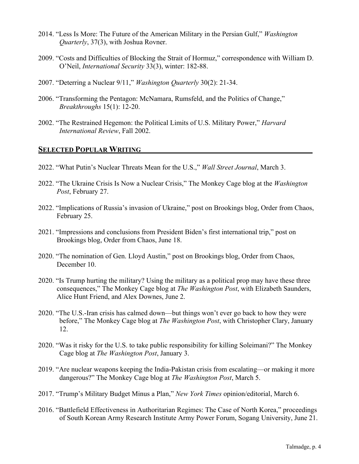- 2014. "Less Is More: The Future of the American Military in the Persian Gulf," *Washington Quarterly*, 37(3), with Joshua Rovner.
- 2009. "Costs and Difficulties of Blocking the Strait of Hormuz," correspondence with William D. O'Neil, *International Security* 33(3), winter: 182-88.
- 2007. "Deterring a Nuclear 9/11," *Washington Quarterly* 30(2): 21-34.
- 2006. "Transforming the Pentagon: McNamara, Rumsfeld, and the Politics of Change," *Breakthroughs* 15(1): 12-20.
- 2002. "The Restrained Hegemon: the Political Limits of U.S. Military Power," *Harvard International Review*, Fall 2002.

## **SELECTED POPULAR WRITING**

- 2022. "What Putin's Nuclear Threats Mean for the U.S.," *Wall Street Journal*, March 3.
- 2022. "The Ukraine Crisis Is Now a Nuclear Crisis," The Monkey Cage blog at the *Washington Post*, February 27.
- 2022. "Implications of Russia's invasion of Ukraine," post on Brookings blog, Order from Chaos, February 25.
- 2021. "Impressions and conclusions from President Biden's first international trip," post on Brookings blog, Order from Chaos, June 18.
- 2020. "The nomination of Gen. Lloyd Austin," post on Brookings blog, Order from Chaos, December 10.
- 2020. "Is Trump hurting the military? Using the military as a political prop may have these three consequences," The Monkey Cage blog at *The Washington Post*, with Elizabeth Saunders, Alice Hunt Friend, and Alex Downes, June 2.
- 2020. "The U.S.-Iran crisis has calmed down—but things won't ever go back to how they were before," The Monkey Cage blog at *The Washington Post*, with Christopher Clary, January 12.
- 2020. "Was it risky for the U.S. to take public responsibility for killing Soleimani?" The Monkey Cage blog at *The Washington Post*, January 3.
- 2019. "Are nuclear weapons keeping the India-Pakistan crisis from escalating—or making it more dangerous?" The Monkey Cage blog at *The Washington Post*, March 5.
- 2017. "Trump's Military Budget Minus a Plan," *New York Times* opinion/editorial, March 6.
- 2016. "Battlefield Effectiveness in Authoritarian Regimes: The Case of North Korea," proceedings of South Korean Army Research Institute Army Power Forum, Sogang University, June 21.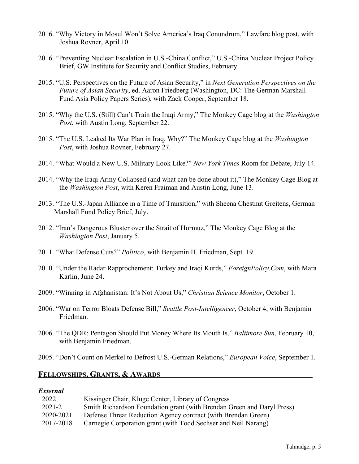- 2016. "Why Victory in Mosul Won't Solve America's Iraq Conundrum," Lawfare blog post, with Joshua Rovner, April 10.
- 2016. "Preventing Nuclear Escalation in U.S.-China Conflict," U.S.-China Nuclear Project Policy Brief, GW Institute for Security and Conflict Studies, February.
- 2015. "U.S. Perspectives on the Future of Asian Security," in *Next Generation Perspectives on the Future of Asian Security*, ed. Aaron Friedberg (Washington, DC: The German Marshall Fund Asia Policy Papers Series), with Zack Cooper, September 18.
- 2015. "Why the U.S. (Still) Can't Train the Iraqi Army," The Monkey Cage blog at the *Washington Post*, with Austin Long, September 22.
- 2015. "The U.S. Leaked Its War Plan in Iraq. Why?" The Monkey Cage blog at the *Washington Post*, with Joshua Rovner, February 27.
- 2014. "What Would a New U.S. Military Look Like?" *New York Times* Room for Debate, July 14.
- 2014. "Why the Iraqi Army Collapsed (and what can be done about it)," The Monkey Cage Blog at the *Washington Post*, with Keren Fraiman and Austin Long, June 13.
- 2013. "The U.S.-Japan Alliance in a Time of Transition," with Sheena Chestnut Greitens, German Marshall Fund Policy Brief, July.
- 2012. "Iran's Dangerous Bluster over the Strait of Hormuz," The Monkey Cage Blog at the *Washington Post*, January 5.
- 2011. "What Defense Cuts?" *Politico*, with Benjamin H. Friedman, Sept. 19.
- 2010. "Under the Radar Rapprochement: Turkey and Iraqi Kurds," *ForeignPolicy.Com*, with Mara Karlin, June 24.
- 2009. "Winning in Afghanistan: It's Not About Us," *Christian Science Monitor*, October 1.
- 2006. "War on Terror Bloats Defense Bill," *Seattle Post-Intelligencer*, October 4, with Benjamin Friedman.
- 2006. "The QDR: Pentagon Should Put Money Where Its Mouth Is," *Baltimore Sun*, February 10, with Benjamin Friedman.
- 2005. "Don't Count on Merkel to Defrost U.S.-German Relations," *European Voice*, September 1.

#### **FELLOWSHIPS, GRANTS, & AWARDS**

#### *External*

| 2022      | Kissinger Chair, Kluge Center, Library of Congress                     |
|-----------|------------------------------------------------------------------------|
| 2021-2    | Smith Richardson Foundation grant (with Brendan Green and Daryl Press) |
| 2020-2021 | Defense Threat Reduction Agency contract (with Brendan Green)          |
| 2017-2018 | Carnegie Corporation grant (with Todd Sechser and Neil Narang)         |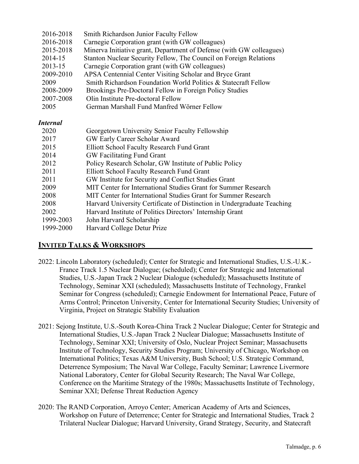| Smith Richardson Junior Faculty Fellow                                  |
|-------------------------------------------------------------------------|
| Carnegie Corporation grant (with GW colleagues)                         |
| Minerva Initiative grant, Department of Defense (with GW colleagues)    |
| Stanton Nuclear Security Fellow, The Council on Foreign Relations       |
| Carnegie Corporation grant (with GW colleagues)                         |
| APSA Centennial Center Visiting Scholar and Bryce Grant                 |
| Smith Richardson Foundation World Politics & Statecraft Fellow          |
| Brookings Pre-Doctoral Fellow in Foreign Policy Studies                 |
| Olin Institute Pre-doctoral Fellow                                      |
| German Marshall Fund Manfred Wörner Fellow                              |
|                                                                         |
| Georgetown University Senior Faculty Fellowship                         |
| GW Early Career Scholar Award                                           |
| <b>Elliott School Faculty Research Fund Grant</b>                       |
| GW Facilitating Fund Grant                                              |
| Policy Research Scholar, GW Institute of Public Policy                  |
| <b>Elliott School Faculty Research Fund Grant</b>                       |
| GW Institute for Security and Conflict Studies Grant                    |
| MIT Center for International Studies Grant for Summer Research          |
| MIT Center for International Studies Grant for Summer Research          |
| Harvard University Certificate of Distinction in Undergraduate Teaching |
| Harvard Institute of Politics Directors' Internship Grant               |
| John Harvard Scholarship                                                |
| Harvard College Detur Prize                                             |
|                                                                         |

# **INVITED TALKS & WORKSHOPS**

- 2022: Lincoln Laboratory (scheduled); Center for Strategic and International Studies, U.S.-U.K.- France Track 1.5 Nuclear Dialogue; (scheduled); Center for Strategic and International Studies, U.S.-Japan Track 2 Nuclear Dialogue (scheduled); Massachusetts Institute of Technology, Seminar XXI (scheduled); Massachusetts Institute of Technology, Frankel Seminar for Congress (scheduled); Carnegie Endowment for International Peace, Future of Arms Control; Princeton University, Center for International Security Studies; University of Virginia, Project on Strategic Stability Evaluation
- 2021: Sejong Institute, U.S.-South Korea-China Track 2 Nuclear Dialogue; Center for Strategic and International Studies, U.S.-Japan Track 2 Nuclear Dialogue; Massachusetts Institute of Technology, Seminar XXI; University of Oslo, Nuclear Project Seminar; Massachusetts Institute of Technology, Security Studies Program; University of Chicago, Workshop on International Politics; Texas A&M University, Bush School; U.S. Strategic Command, Deterrence Symposium; The Naval War College, Faculty Seminar; Lawrence Livermore National Laboratory, Center for Global Security Research; The Naval War College, Conference on the Maritime Strategy of the 1980s; Massachusetts Institute of Technology, Seminar XXI; Defense Threat Reduction Agency
- 2020: The RAND Corporation, Arroyo Center; American Academy of Arts and Sciences, Workshop on Future of Deterrence; Center for Strategic and International Studies, Track 2 Trilateral Nuclear Dialogue; Harvard University, Grand Strategy, Security, and Statecraft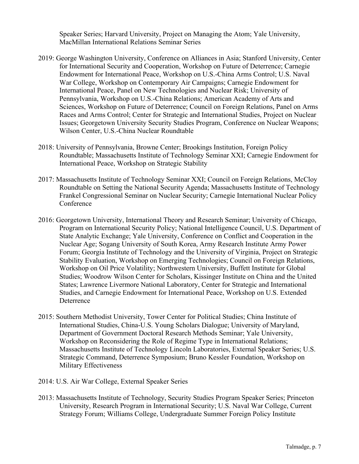Speaker Series; Harvard University, Project on Managing the Atom; Yale University, MacMillan International Relations Seminar Series

- 2019: George Washington University, Conference on Alliances in Asia; Stanford University, Center for International Security and Cooperation, Workshop on Future of Deterrence; Carnegie Endowment for International Peace, Workshop on U.S.-China Arms Control; U.S. Naval War College, Workshop on Contemporary Air Campaigns; Carnegie Endowment for International Peace, Panel on New Technologies and Nuclear Risk; University of Pennsylvania, Workshop on U.S.-China Relations; American Academy of Arts and Sciences, Workshop on Future of Deterrence; Council on Foreign Relations, Panel on Arms Races and Arms Control; Center for Strategic and International Studies, Project on Nuclear Issues; Georgetown University Security Studies Program, Conference on Nuclear Weapons; Wilson Center, U.S.-China Nuclear Roundtable
- 2018: University of Pennsylvania, Browne Center; Brookings Institution, Foreign Policy Roundtable; Massachusetts Institute of Technology Seminar XXI; Carnegie Endowment for International Peace, Workshop on Strategic Stability
- 2017: Massachusetts Institute of Technology Seminar XXI; Council on Foreign Relations, McCloy Roundtable on Setting the National Security Agenda; Massachusetts Institute of Technology Frankel Congressional Seminar on Nuclear Security; Carnegie International Nuclear Policy Conference
- 2016: Georgetown University, International Theory and Research Seminar; University of Chicago, Program on International Security Policy; National Intelligence Council, U.S. Department of State Analytic Exchange; Yale University, Conference on Conflict and Cooperation in the Nuclear Age; Sogang University of South Korea, Army Research Institute Army Power Forum; Georgia Institute of Technology and the University of Virginia, Project on Strategic Stability Evaluation, Workshop on Emerging Technologies; Council on Foreign Relations, Workshop on Oil Price Volatility; Northwestern University, Buffett Institute for Global Studies; Woodrow Wilson Center for Scholars, Kissinger Institute on China and the United States; Lawrence Livermore National Laboratory, Center for Strategic and International Studies, and Carnegie Endowment for International Peace, Workshop on U.S. Extended **Deterrence**
- 2015: Southern Methodist University, Tower Center for Political Studies; China Institute of International Studies, China-U.S. Young Scholars Dialogue; University of Maryland, Department of Government Doctoral Research Methods Seminar; Yale University, Workshop on Reconsidering the Role of Regime Type in International Relations; Massachusetts Institute of Technology Lincoln Laboratories, External Speaker Series; U.S. Strategic Command, Deterrence Symposium; Bruno Kessler Foundation, Workshop on Military Effectiveness
- 2014: U.S. Air War College, External Speaker Series
- 2013: Massachusetts Institute of Technology, Security Studies Program Speaker Series; Princeton University, Research Program in International Security; U.S. Naval War College, Current Strategy Forum; Williams College, Undergraduate Summer Foreign Policy Institute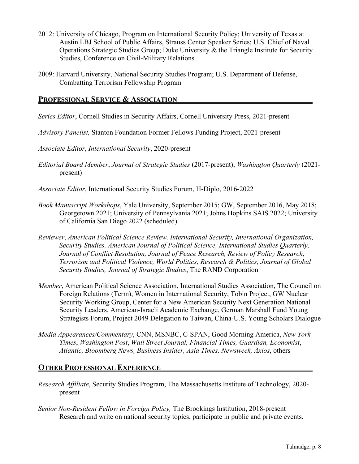- 2012: University of Chicago, Program on International Security Policy; University of Texas at Austin LBJ School of Public Affairs, Strauss Center Speaker Series; U.S. Chief of Naval Operations Strategic Studies Group; Duke University & the Triangle Institute for Security Studies, Conference on Civil-Military Relations
- 2009: Harvard University, National Security Studies Program; U.S. Department of Defense, Combatting Terrorism Fellowship Program

## **PROFESSIONAL SERVICE & ASSOCIATION**

- *Series Editor*, Cornell Studies in Security Affairs, Cornell University Press, 2021-present
- *Advisory Panelist,* Stanton Foundation Former Fellows Funding Project, 2021-present
- *Associate Editor*, *International Security*, 2020-present
- *Editorial Board Member*, *Journal of Strategic Studies* (2017-present), *Washington Quarterly* (2021 present)
- *Associate Editor*, International Security Studies Forum, H-Diplo, 2016-2022
- *Book Manuscript Workshops*, Yale University, September 2015; GW, September 2016, May 2018; Georgetown 2021; University of Pennsylvania 2021; Johns Hopkins SAIS 2022; University of California San Diego 2022 (scheduled)
- *Reviewer*, *American Political Science Review, International Security, International Organization, Security Studies, American Journal of Political Science, International Studies Quarterly, Journal of Conflict Resolution, Journal of Peace Research, Review of Policy Research, Terrorism and Political Violence, World Politics, Research & Politics, Journal of Global Security Studies, Journal of Strategic Studies*, The RAND Corporation
- *Member*, American Political Science Association, International Studies Association, The Council on Foreign Relations (Term), Women in International Security, Tobin Project, GW Nuclear Security Working Group, Center for a New American Security Next Generation National Security Leaders, American-Israeli Academic Exchange, German Marshall Fund Young Strategists Forum, Project 2049 Delegation to Taiwan, China-U.S. Young Scholars Dialogue
- *Media Appearances/Commentary*, CNN, MSNBC, C-SPAN, Good Morning America, *New York Times*, *Washington Post*, *Wall Street Journal, Financial Times, Guardian, Economist*, *Atlantic, Bloomberg News, Business Insider, Asia Times, Newsweek, Axios*, others

## **OTHER PROFESSIONAL EXPERIENCE**

- *Research Affiliate*, Security Studies Program, The Massachusetts Institute of Technology, 2020 present
- *Senior Non-Resident Fellow in Foreign Policy,* The Brookings Institution, 2018-present Research and write on national security topics, participate in public and private events.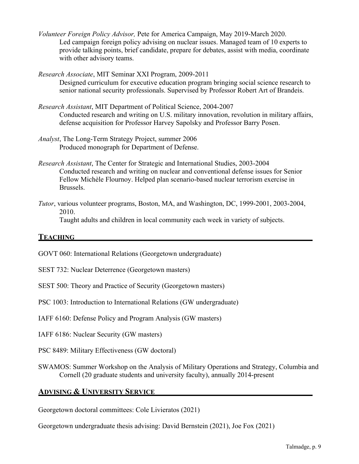- *Volunteer Foreign Policy Advisor,* Pete for America Campaign, May 2019-March 2020. Led campaign foreign policy advising on nuclear issues. Managed team of 10 experts to provide talking points, brief candidate, prepare for debates, assist with media, coordinate with other advisory teams.
- *Research Associate*, MIT Seminar XXI Program, 2009-2011 Designed curriculum for executive education program bringing social science research to senior national security professionals. Supervised by Professor Robert Art of Brandeis.
- *Research Assistant*, MIT Department of Political Science, 2004-2007 Conducted research and writing on U.S. military innovation, revolution in military affairs, defense acquisition for Professor Harvey Sapolsky and Professor Barry Posen.
- *Analyst*, The Long-Term Strategy Project, summer 2006 Produced monograph for Department of Defense.
- *Research Assistant*, The Center for Strategic and International Studies, 2003-2004 Conducted research and writing on nuclear and conventional defense issues for Senior Fellow Michèle Flournoy. Helped plan scenario-based nuclear terrorism exercise in Brussels.
- *Tutor*, various volunteer programs, Boston, MA, and Washington, DC, 1999-2001, 2003-2004, 2010.

Taught adults and children in local community each week in variety of subjects.

## **TEACHING**

GOVT 060: International Relations (Georgetown undergraduate)

SEST 732: Nuclear Deterrence (Georgetown masters)

SEST 500: Theory and Practice of Security (Georgetown masters)

PSC 1003: Introduction to International Relations (GW undergraduate)

IAFF 6160: Defense Policy and Program Analysis (GW masters)

IAFF 6186: Nuclear Security (GW masters)

PSC 8489: Military Effectiveness (GW doctoral)

SWAMOS: Summer Workshop on the Analysis of Military Operations and Strategy, Columbia and Cornell (20 graduate students and university faculty), annually 2014-present

# **ADVISING & UNIVERSITY SERVICE**

Georgetown doctoral committees: Cole Livieratos (2021)

Georgetown undergraduate thesis advising: David Bernstein (2021), Joe Fox (2021)